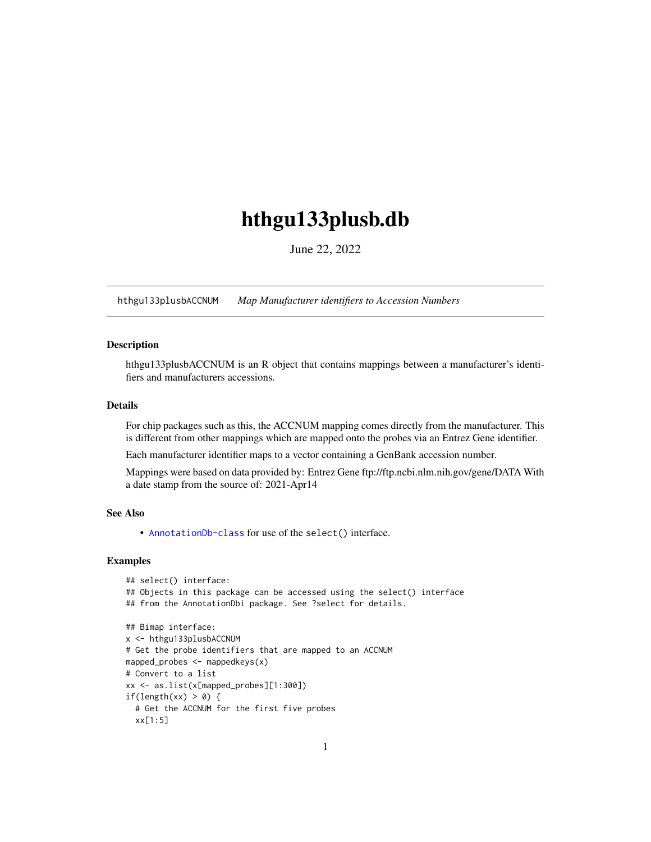# <span id="page-0-1"></span>hthgu133plusb.db

June 22, 2022

<span id="page-0-0"></span>hthgu133plusbACCNUM *Map Manufacturer identifiers to Accession Numbers*

# Description

hthgu133plusbACCNUM is an R object that contains mappings between a manufacturer's identifiers and manufacturers accessions.

# Details

For chip packages such as this, the ACCNUM mapping comes directly from the manufacturer. This is different from other mappings which are mapped onto the probes via an Entrez Gene identifier.

Each manufacturer identifier maps to a vector containing a GenBank accession number.

Mappings were based on data provided by: Entrez Gene ftp://ftp.ncbi.nlm.nih.gov/gene/DATA With a date stamp from the source of: 2021-Apr14

## See Also

• AnnotationDb-class for use of the select() interface.

```
## select() interface:
## Objects in this package can be accessed using the select() interface
## from the AnnotationDbi package. See ?select for details.
## Bimap interface:
x <- hthgu133plusbACCNUM
# Get the probe identifiers that are mapped to an ACCNUM
mapped_probes <- mappedkeys(x)
# Convert to a list
xx <- as.list(x[mapped_probes][1:300])
if(length(xx) > 0) {
  # Get the ACCNUM for the first five probes
  xx[1:5]
```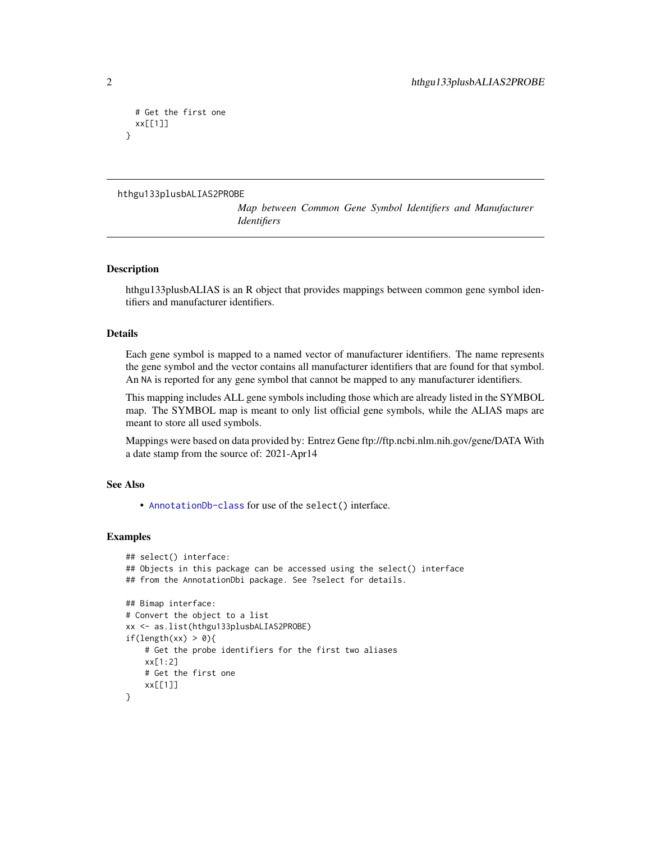```
# Get the first one
 xx[[1]]
}
```

```
hthgu133plusbALIAS2PROBE
```
*Map between Common Gene Symbol Identifiers and Manufacturer Identifiers*

## Description

hthgu133plusbALIAS is an R object that provides mappings between common gene symbol identifiers and manufacturer identifiers.

# Details

Each gene symbol is mapped to a named vector of manufacturer identifiers. The name represents the gene symbol and the vector contains all manufacturer identifiers that are found for that symbol. An NA is reported for any gene symbol that cannot be mapped to any manufacturer identifiers.

This mapping includes ALL gene symbols including those which are already listed in the SYMBOL map. The SYMBOL map is meant to only list official gene symbols, while the ALIAS maps are meant to store all used symbols.

Mappings were based on data provided by: Entrez Gene ftp://ftp.ncbi.nlm.nih.gov/gene/DATA With a date stamp from the source of: 2021-Apr14

## See Also

• [AnnotationDb-class](#page-0-0) for use of the select() interface.

```
## select() interface:
## Objects in this package can be accessed using the select() interface
## from the AnnotationDbi package. See ?select for details.
## Bimap interface:
# Convert the object to a list
xx <- as.list(hthgu133plusbALIAS2PROBE)
if(length(xx) > 0){
    # Get the probe identifiers for the first two aliases
    xx[1:2]
   # Get the first one
   xx[[1]]
}
```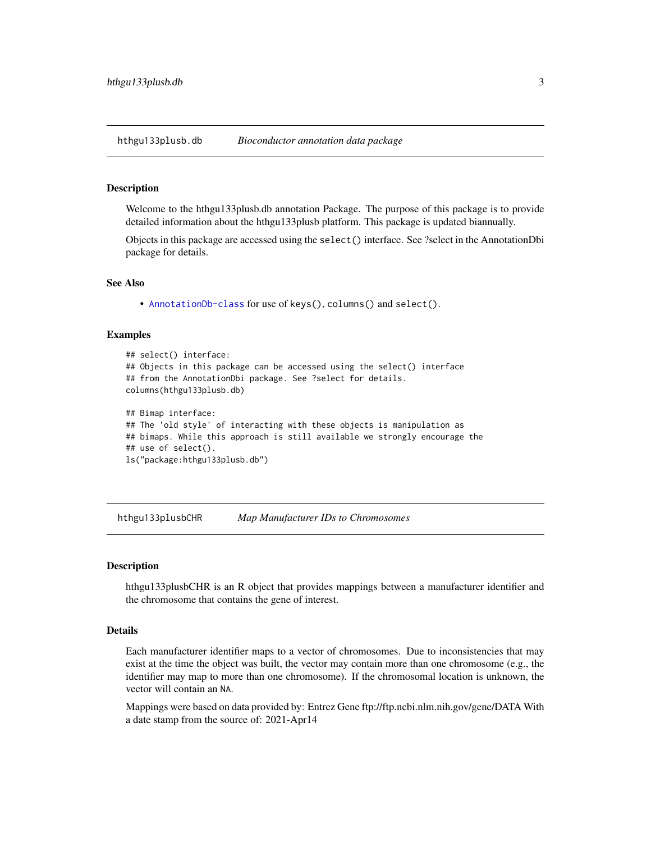<span id="page-2-0"></span>hthgu133plusb.db *Bioconductor annotation data package*

#### Description

Welcome to the hthgu133plusb.db annotation Package. The purpose of this package is to provide detailed information about the hthgu133plusb platform. This package is updated biannually.

Objects in this package are accessed using the select() interface. See ?select in the AnnotationDbi package for details.

#### See Also

• [AnnotationDb-class](#page-0-0) for use of keys(), columns() and select().

## Examples

```
## select() interface:
## Objects in this package can be accessed using the select() interface
## from the AnnotationDbi package. See ?select for details.
columns(hthgu133plusb.db)
## Bimap interface:
## The 'old style' of interacting with these objects is manipulation as
## bimaps. While this approach is still available we strongly encourage the
## use of select().
ls("package:hthgu133plusb.db")
```
hthgu133plusbCHR *Map Manufacturer IDs to Chromosomes*

## **Description**

hthgu133plusbCHR is an R object that provides mappings between a manufacturer identifier and the chromosome that contains the gene of interest.

## Details

Each manufacturer identifier maps to a vector of chromosomes. Due to inconsistencies that may exist at the time the object was built, the vector may contain more than one chromosome (e.g., the identifier may map to more than one chromosome). If the chromosomal location is unknown, the vector will contain an NA.

Mappings were based on data provided by: Entrez Gene ftp://ftp.ncbi.nlm.nih.gov/gene/DATA With a date stamp from the source of: 2021-Apr14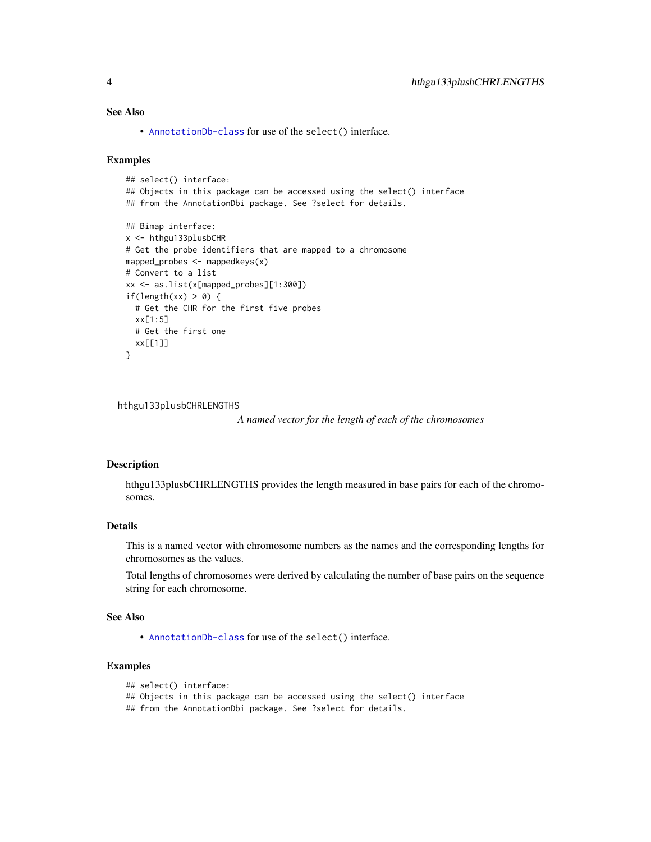# <span id="page-3-0"></span>See Also

• [AnnotationDb-class](#page-0-0) for use of the select() interface.

#### Examples

```
## select() interface:
## Objects in this package can be accessed using the select() interface
## from the AnnotationDbi package. See ?select for details.
## Bimap interface:
x <- hthgu133plusbCHR
# Get the probe identifiers that are mapped to a chromosome
mapped_probes <- mappedkeys(x)
# Convert to a list
xx <- as.list(x[mapped_probes][1:300])
if(length(xx) > 0) {
  # Get the CHR for the first five probes
  xx[1:5]
  # Get the first one
  xx[[1]]
}
```
hthgu133plusbCHRLENGTHS

*A named vector for the length of each of the chromosomes*

#### Description

hthgu133plusbCHRLENGTHS provides the length measured in base pairs for each of the chromosomes.

# Details

This is a named vector with chromosome numbers as the names and the corresponding lengths for chromosomes as the values.

Total lengths of chromosomes were derived by calculating the number of base pairs on the sequence string for each chromosome.

#### See Also

• [AnnotationDb-class](#page-0-0) for use of the select() interface.

# Examples

```
## select() interface:
```

```
## Objects in this package can be accessed using the select() interface
```
## from the AnnotationDbi package. See ?select for details.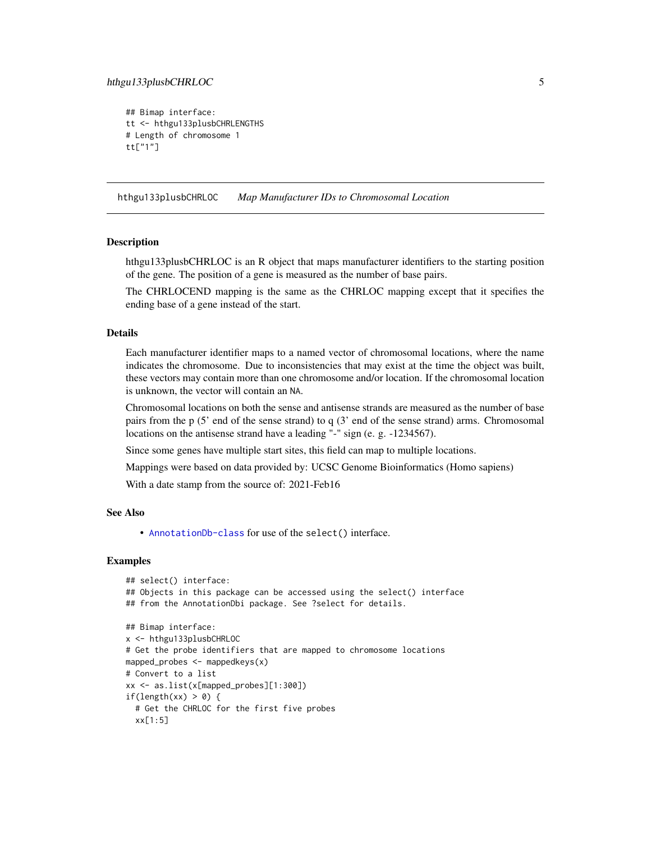# <span id="page-4-0"></span>hthgu133plusbCHRLOC 5

```
## Bimap interface:
tt <- hthgu133plusbCHRLENGTHS
# Length of chromosome 1
tt["1"]
```
hthgu133plusbCHRLOC *Map Manufacturer IDs to Chromosomal Location*

#### **Description**

hthgu133plusbCHRLOC is an R object that maps manufacturer identifiers to the starting position of the gene. The position of a gene is measured as the number of base pairs.

The CHRLOCEND mapping is the same as the CHRLOC mapping except that it specifies the ending base of a gene instead of the start.

#### Details

Each manufacturer identifier maps to a named vector of chromosomal locations, where the name indicates the chromosome. Due to inconsistencies that may exist at the time the object was built, these vectors may contain more than one chromosome and/or location. If the chromosomal location is unknown, the vector will contain an NA.

Chromosomal locations on both the sense and antisense strands are measured as the number of base pairs from the p (5' end of the sense strand) to q (3' end of the sense strand) arms. Chromosomal locations on the antisense strand have a leading "-" sign (e. g. -1234567).

Since some genes have multiple start sites, this field can map to multiple locations.

Mappings were based on data provided by: UCSC Genome Bioinformatics (Homo sapiens)

With a date stamp from the source of: 2021-Feb16

#### See Also

• [AnnotationDb-class](#page-0-0) for use of the select() interface.

```
## select() interface:
## Objects in this package can be accessed using the select() interface
## from the AnnotationDbi package. See ?select for details.
## Bimap interface:
x <- hthgu133plusbCHRLOC
# Get the probe identifiers that are mapped to chromosome locations
mapped_probes <- mappedkeys(x)
# Convert to a list
xx <- as.list(x[mapped_probes][1:300])
if(length(xx) > 0) {
 # Get the CHRLOC for the first five probes
 xx[1:5]
```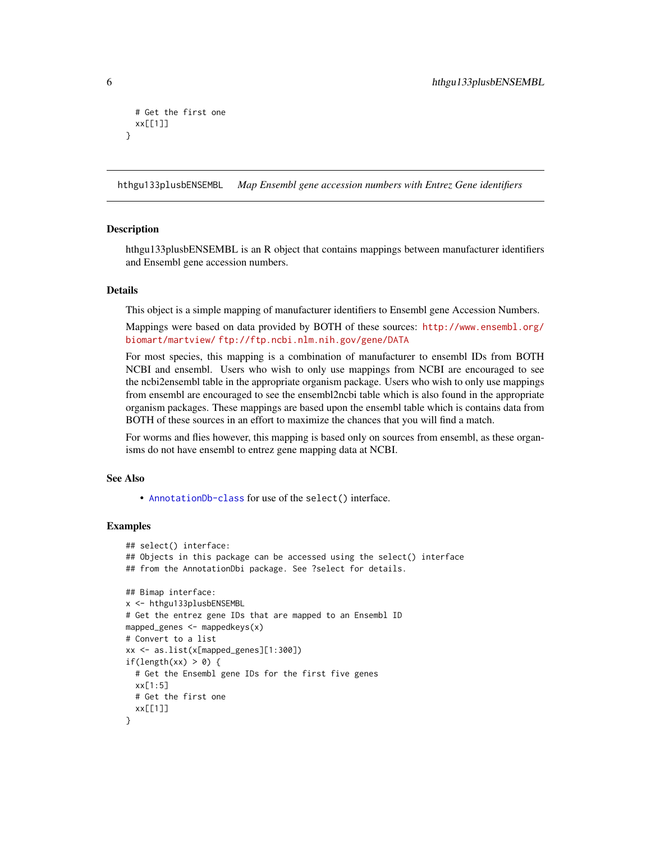```
# Get the first one
 xx[[1]]
}
```
hthgu133plusbENSEMBL *Map Ensembl gene accession numbers with Entrez Gene identifiers*

## **Description**

hthgu133plusbENSEMBL is an R object that contains mappings between manufacturer identifiers and Ensembl gene accession numbers.

## **Details**

This object is a simple mapping of manufacturer identifiers to Ensembl gene Accession Numbers.

Mappings were based on data provided by BOTH of these sources: [http://www.ensembl.org/](http://www.ensembl.org/biomart/martview/) [biomart/martview/](http://www.ensembl.org/biomart/martview/) <ftp://ftp.ncbi.nlm.nih.gov/gene/DATA>

For most species, this mapping is a combination of manufacturer to ensembl IDs from BOTH NCBI and ensembl. Users who wish to only use mappings from NCBI are encouraged to see the ncbi2ensembl table in the appropriate organism package. Users who wish to only use mappings from ensembl are encouraged to see the ensembl2ncbi table which is also found in the appropriate organism packages. These mappings are based upon the ensembl table which is contains data from BOTH of these sources in an effort to maximize the chances that you will find a match.

For worms and flies however, this mapping is based only on sources from ensembl, as these organisms do not have ensembl to entrez gene mapping data at NCBI.

## See Also

• [AnnotationDb-class](#page-0-0) for use of the select() interface.

```
## select() interface:
## Objects in this package can be accessed using the select() interface
## from the AnnotationDbi package. See ?select for details.
## Bimap interface:
x <- hthgu133plusbENSEMBL
# Get the entrez gene IDs that are mapped to an Ensembl ID
mapped_genes <- mappedkeys(x)
# Convert to a list
xx <- as.list(x[mapped_genes][1:300])
if(length(xx) > 0) {
 # Get the Ensembl gene IDs for the first five genes
 xx[1:5]
 # Get the first one
 xx[[1]]
}
```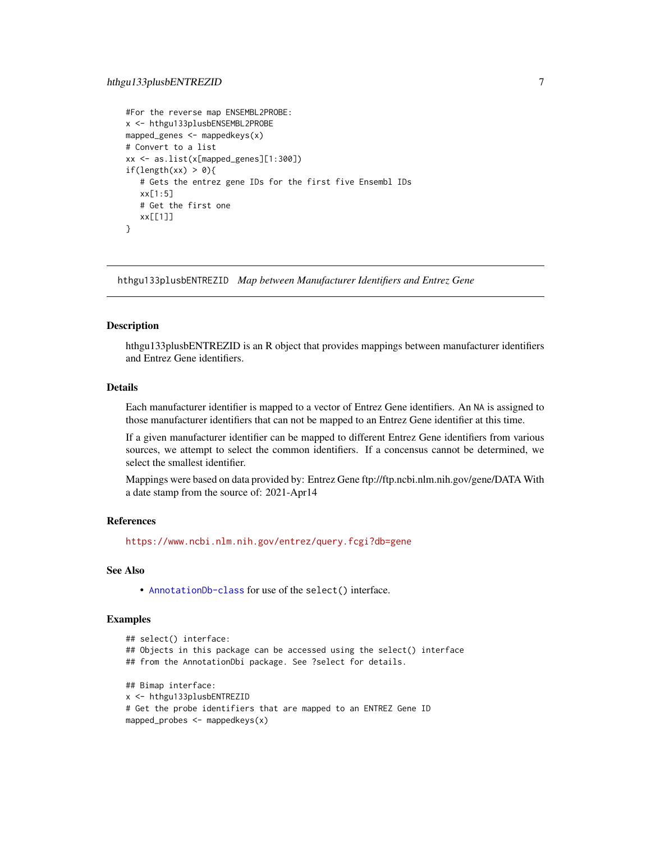```
#For the reverse map ENSEMBL2PROBE:
x <- hthgu133plusbENSEMBL2PROBE
mapped_genes <- mappedkeys(x)
# Convert to a list
xx <- as.list(x[mapped_genes][1:300])
if(length(xx) > 0){
  # Gets the entrez gene IDs for the first five Ensembl IDs
  xx[1:5]
  # Get the first one
  xx[[1]]
}
```
hthgu133plusbENTREZID *Map between Manufacturer Identifiers and Entrez Gene*

## Description

hthgu133plusbENTREZID is an R object that provides mappings between manufacturer identifiers and Entrez Gene identifiers.

#### Details

Each manufacturer identifier is mapped to a vector of Entrez Gene identifiers. An NA is assigned to those manufacturer identifiers that can not be mapped to an Entrez Gene identifier at this time.

If a given manufacturer identifier can be mapped to different Entrez Gene identifiers from various sources, we attempt to select the common identifiers. If a concensus cannot be determined, we select the smallest identifier.

Mappings were based on data provided by: Entrez Gene ftp://ftp.ncbi.nlm.nih.gov/gene/DATA With a date stamp from the source of: 2021-Apr14

## References

<https://www.ncbi.nlm.nih.gov/entrez/query.fcgi?db=gene>

# See Also

• [AnnotationDb-class](#page-0-0) for use of the select() interface.

```
## select() interface:
## Objects in this package can be accessed using the select() interface
## from the AnnotationDbi package. See ?select for details.
## Bimap interface:
x <- hthgu133plusbENTREZID
# Get the probe identifiers that are mapped to an ENTREZ Gene ID
mapped_probes <- mappedkeys(x)
```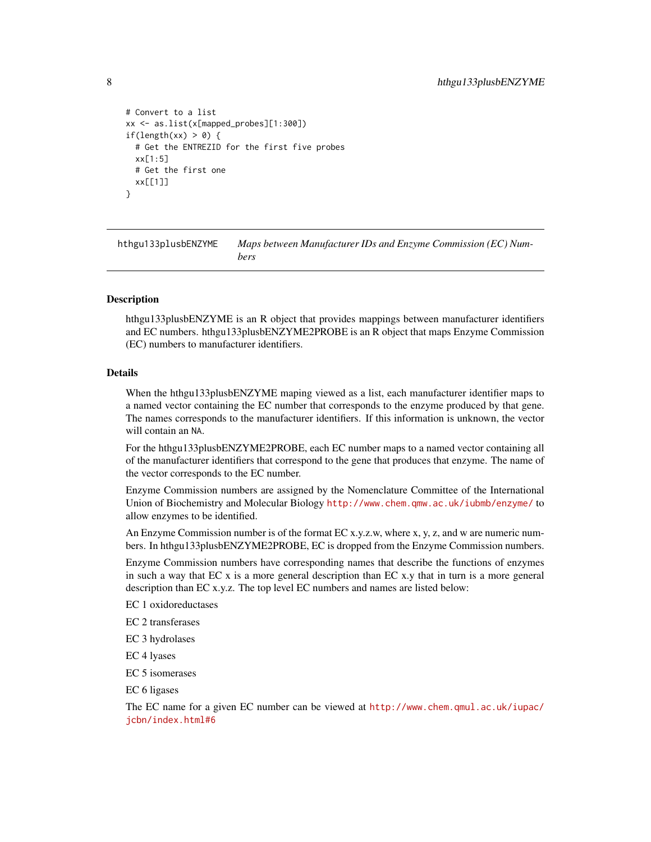```
# Convert to a list
xx <- as.list(x[mapped_probes][1:300])
if(length(xx) > 0) {
 # Get the ENTREZID for the first five probes
 xx[1:5]
 # Get the first one
 xx[[1]]
}
```
hthgu133plusbENZYME *Maps between Manufacturer IDs and Enzyme Commission (EC) Numbers*

## Description

hthgu133plusbENZYME is an R object that provides mappings between manufacturer identifiers and EC numbers. hthgu133plusbENZYME2PROBE is an R object that maps Enzyme Commission (EC) numbers to manufacturer identifiers.

#### Details

When the hthgu133plusbENZYME maping viewed as a list, each manufacturer identifier maps to a named vector containing the EC number that corresponds to the enzyme produced by that gene. The names corresponds to the manufacturer identifiers. If this information is unknown, the vector will contain an NA.

For the hthgu133plusbENZYME2PROBE, each EC number maps to a named vector containing all of the manufacturer identifiers that correspond to the gene that produces that enzyme. The name of the vector corresponds to the EC number.

Enzyme Commission numbers are assigned by the Nomenclature Committee of the International Union of Biochemistry and Molecular Biology <http://www.chem.qmw.ac.uk/iubmb/enzyme/>to allow enzymes to be identified.

An Enzyme Commission number is of the format EC x.y.z.w, where x, y, z, and w are numeric numbers. In hthgu133plusbENZYME2PROBE, EC is dropped from the Enzyme Commission numbers.

Enzyme Commission numbers have corresponding names that describe the functions of enzymes in such a way that EC x is a more general description than EC x.y that in turn is a more general description than EC x.y.z. The top level EC numbers and names are listed below:

EC 1 oxidoreductases

EC 2 transferases

EC 3 hydrolases

EC 4 lyases

EC 5 isomerases

EC 6 ligases

The EC name for a given EC number can be viewed at [http://www.chem.qmul.ac.uk/iupac/](http://www.chem.qmul.ac.uk/iupac/jcbn/index.html#6) [jcbn/index.html#6](http://www.chem.qmul.ac.uk/iupac/jcbn/index.html#6)

<span id="page-7-0"></span>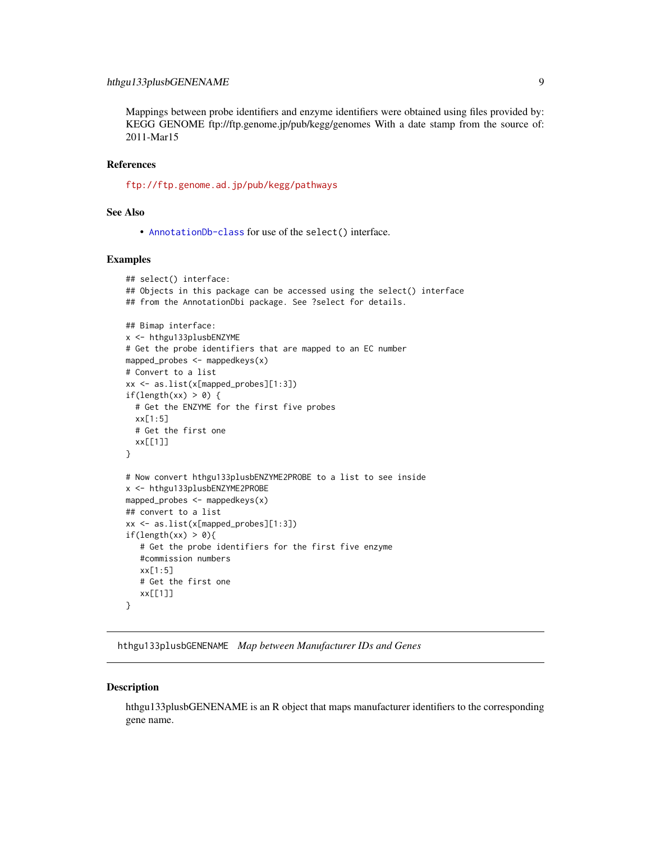# <span id="page-8-0"></span>hthgu133plusbGENENAME 9

Mappings between probe identifiers and enzyme identifiers were obtained using files provided by: KEGG GENOME ftp://ftp.genome.jp/pub/kegg/genomes With a date stamp from the source of: 2011-Mar15

## References

<ftp://ftp.genome.ad.jp/pub/kegg/pathways>

# See Also

• [AnnotationDb-class](#page-0-0) for use of the select() interface.

## Examples

```
## select() interface:
## Objects in this package can be accessed using the select() interface
## from the AnnotationDbi package. See ?select for details.
## Bimap interface:
x <- hthgu133plusbENZYME
# Get the probe identifiers that are mapped to an EC number
mapped_probes <- mappedkeys(x)
# Convert to a list
xx <- as.list(x[mapped_probes][1:3])
if(length(xx) > 0) {
  # Get the ENZYME for the first five probes
  xx[1:5]
  # Get the first one
  xx[[1]]
}
# Now convert hthgu133plusbENZYME2PROBE to a list to see inside
x <- hthgu133plusbENZYME2PROBE
mapped_probes <- mappedkeys(x)
## convert to a list
xx <- as.list(x[mapped_probes][1:3])
if(length(xx) > 0){
   # Get the probe identifiers for the first five enzyme
   #commission numbers
   xx[1:5]
   # Get the first one
  xx[[1]]
}
```
hthgu133plusbGENENAME *Map between Manufacturer IDs and Genes*

#### **Description**

hthgu133plusbGENENAME is an R object that maps manufacturer identifiers to the corresponding gene name.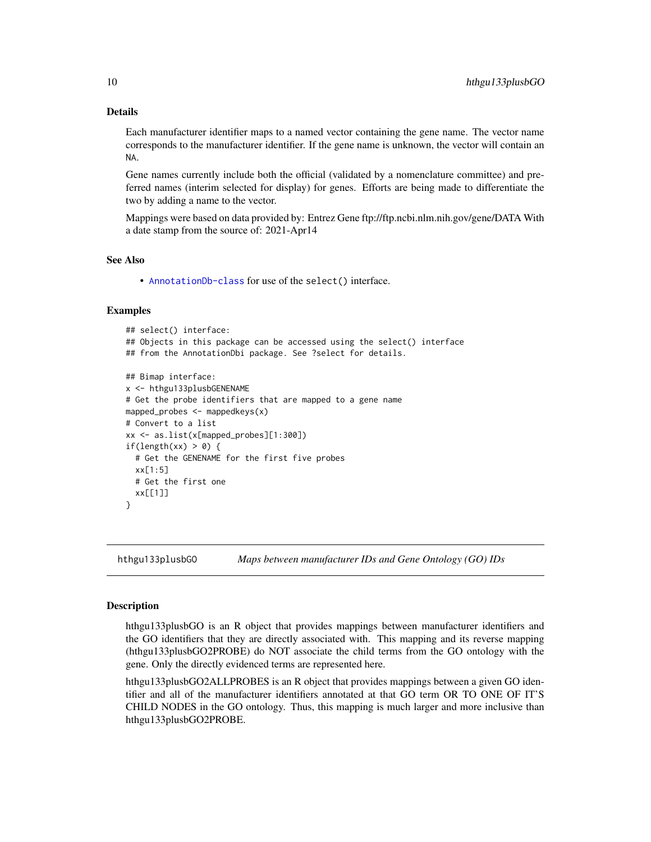# Details

Each manufacturer identifier maps to a named vector containing the gene name. The vector name corresponds to the manufacturer identifier. If the gene name is unknown, the vector will contain an NA.

Gene names currently include both the official (validated by a nomenclature committee) and preferred names (interim selected for display) for genes. Efforts are being made to differentiate the two by adding a name to the vector.

Mappings were based on data provided by: Entrez Gene ftp://ftp.ncbi.nlm.nih.gov/gene/DATA With a date stamp from the source of: 2021-Apr14

#### See Also

• [AnnotationDb-class](#page-0-0) for use of the select() interface.

## Examples

```
## select() interface:
## Objects in this package can be accessed using the select() interface
## from the AnnotationDbi package. See ?select for details.
## Bimap interface:
x <- hthgu133plusbGENENAME
# Get the probe identifiers that are mapped to a gene name
mapped_probes \leq mappedkeys(x)
# Convert to a list
xx <- as.list(x[mapped_probes][1:300])
if(length(xx) > 0) {
  # Get the GENENAME for the first five probes
  xx[1:5]
  # Get the first one
  xx[[1]]
}
```
hthgu133plusbGO *Maps between manufacturer IDs and Gene Ontology (GO) IDs*

#### <span id="page-9-0"></span>Description

hthgu133plusbGO is an R object that provides mappings between manufacturer identifiers and the GO identifiers that they are directly associated with. This mapping and its reverse mapping (hthgu133plusbGO2PROBE) do NOT associate the child terms from the GO ontology with the gene. Only the directly evidenced terms are represented here.

hthgu133plusbGO2ALLPROBES is an R object that provides mappings between a given GO identifier and all of the manufacturer identifiers annotated at that GO term OR TO ONE OF IT'S CHILD NODES in the GO ontology. Thus, this mapping is much larger and more inclusive than hthgu133plusbGO2PROBE.

<span id="page-9-1"></span>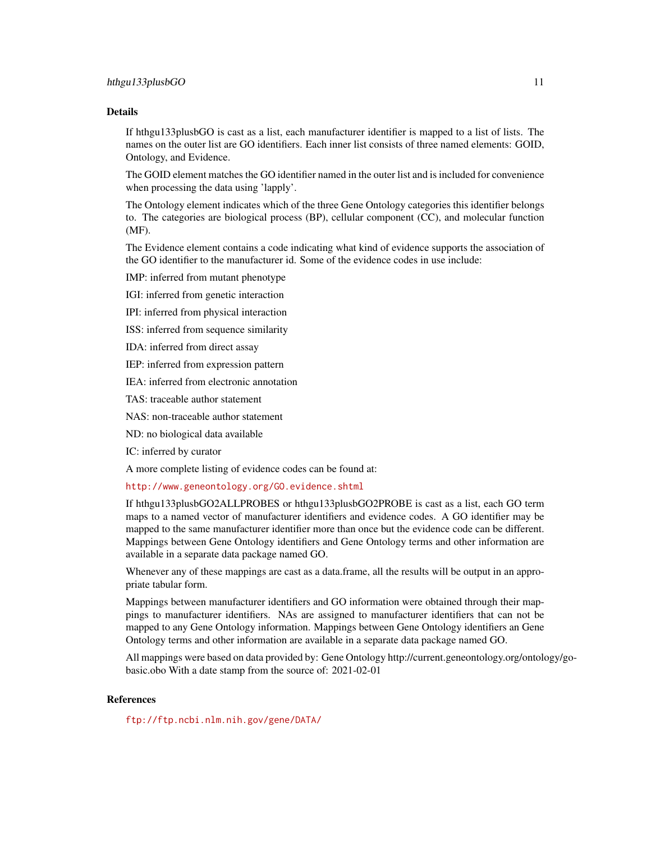#### Details

If hthgu133plusbGO is cast as a list, each manufacturer identifier is mapped to a list of lists. The names on the outer list are GO identifiers. Each inner list consists of three named elements: GOID, Ontology, and Evidence.

The GOID element matches the GO identifier named in the outer list and is included for convenience when processing the data using 'lapply'.

The Ontology element indicates which of the three Gene Ontology categories this identifier belongs to. The categories are biological process (BP), cellular component (CC), and molecular function (MF).

The Evidence element contains a code indicating what kind of evidence supports the association of the GO identifier to the manufacturer id. Some of the evidence codes in use include:

IMP: inferred from mutant phenotype

IGI: inferred from genetic interaction

IPI: inferred from physical interaction

ISS: inferred from sequence similarity

IDA: inferred from direct assay

IEP: inferred from expression pattern

IEA: inferred from electronic annotation

TAS: traceable author statement

NAS: non-traceable author statement

ND: no biological data available

IC: inferred by curator

A more complete listing of evidence codes can be found at:

<http://www.geneontology.org/GO.evidence.shtml>

If hthgu133plusbGO2ALLPROBES or hthgu133plusbGO2PROBE is cast as a list, each GO term maps to a named vector of manufacturer identifiers and evidence codes. A GO identifier may be mapped to the same manufacturer identifier more than once but the evidence code can be different. Mappings between Gene Ontology identifiers and Gene Ontology terms and other information are available in a separate data package named GO.

Whenever any of these mappings are cast as a data.frame, all the results will be output in an appropriate tabular form.

Mappings between manufacturer identifiers and GO information were obtained through their mappings to manufacturer identifiers. NAs are assigned to manufacturer identifiers that can not be mapped to any Gene Ontology information. Mappings between Gene Ontology identifiers an Gene Ontology terms and other information are available in a separate data package named GO.

All mappings were based on data provided by: Gene Ontology http://current.geneontology.org/ontology/gobasic.obo With a date stamp from the source of: 2021-02-01

## References

<ftp://ftp.ncbi.nlm.nih.gov/gene/DATA/>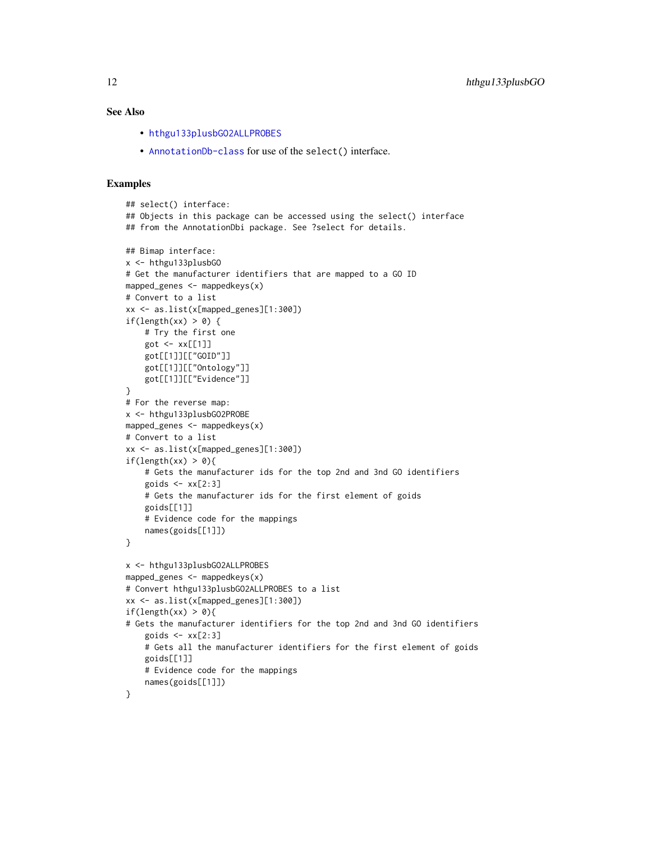## <span id="page-11-0"></span>See Also

- [hthgu133plusbGO2ALLPROBES](#page-9-0)
- [AnnotationDb-class](#page-0-0) for use of the select() interface.

```
## select() interface:
## Objects in this package can be accessed using the select() interface
## from the AnnotationDbi package. See ?select for details.
## Bimap interface:
x <- hthgu133plusbGO
# Get the manufacturer identifiers that are mapped to a GO ID
mapped_genes <- mappedkeys(x)
# Convert to a list
xx <- as.list(x[mapped_genes][1:300])
if(length(xx) > 0) {
    # Try the first one
   got \leq -xx[[1]]got[[1]][["GOID"]]
    got[[1]][["Ontology"]]
    got[[1]][["Evidence"]]
}
# For the reverse map:
x <- hthgu133plusbGO2PROBE
mapped_genes <- mappedkeys(x)
# Convert to a list
xx <- as.list(x[mapped_genes][1:300])
if(length(xx) > 0){
    # Gets the manufacturer ids for the top 2nd and 3nd GO identifiers
    goids \leq -x \times [2:3]# Gets the manufacturer ids for the first element of goids
    goids[[1]]
    # Evidence code for the mappings
   names(goids[[1]])
}
x <- hthgu133plusbGO2ALLPROBES
mapped_genes <- mappedkeys(x)
# Convert hthgu133plusbGO2ALLPROBES to a list
xx <- as.list(x[mapped_genes][1:300])
if(length(xx) > 0){
# Gets the manufacturer identifiers for the top 2nd and 3nd GO identifiers
    goids \leftarrow xx[2:3]# Gets all the manufacturer identifiers for the first element of goids
    goids[[1]]
    # Evidence code for the mappings
    names(goids[[1]])
}
```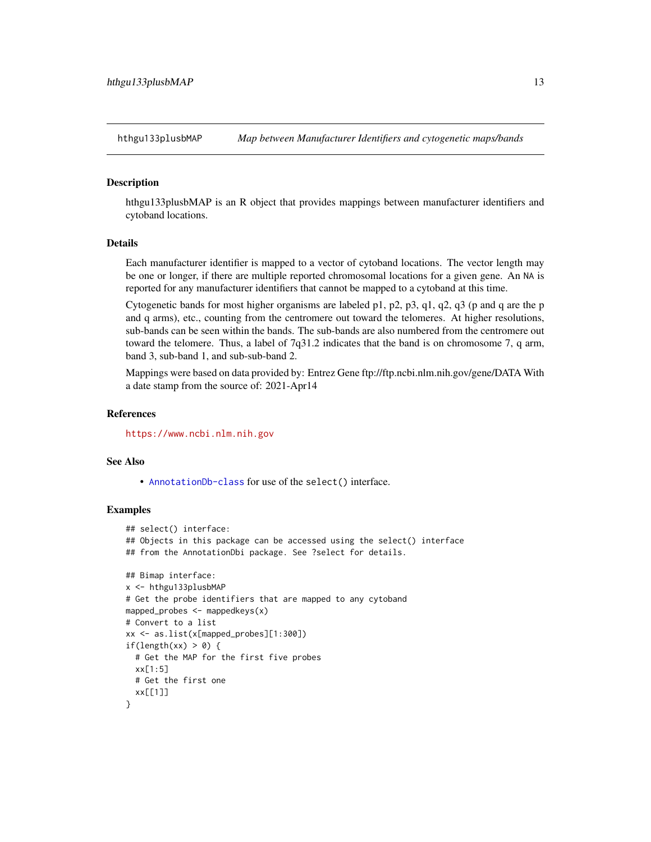<span id="page-12-0"></span>

## **Description**

hthgu133plusbMAP is an R object that provides mappings between manufacturer identifiers and cytoband locations.

## Details

Each manufacturer identifier is mapped to a vector of cytoband locations. The vector length may be one or longer, if there are multiple reported chromosomal locations for a given gene. An NA is reported for any manufacturer identifiers that cannot be mapped to a cytoband at this time.

Cytogenetic bands for most higher organisms are labeled p1, p2, p3, q1, q2, q3 (p and q are the p and q arms), etc., counting from the centromere out toward the telomeres. At higher resolutions, sub-bands can be seen within the bands. The sub-bands are also numbered from the centromere out toward the telomere. Thus, a label of 7q31.2 indicates that the band is on chromosome 7, q arm, band 3, sub-band 1, and sub-sub-band 2.

Mappings were based on data provided by: Entrez Gene ftp://ftp.ncbi.nlm.nih.gov/gene/DATA With a date stamp from the source of: 2021-Apr14

## **References**

<https://www.ncbi.nlm.nih.gov>

## See Also

• [AnnotationDb-class](#page-0-0) for use of the select() interface.

```
## select() interface:
## Objects in this package can be accessed using the select() interface
## from the AnnotationDbi package. See ?select for details.
## Bimap interface:
x <- hthgu133plusbMAP
# Get the probe identifiers that are mapped to any cytoband
mapped_probes <- mappedkeys(x)
# Convert to a list
xx <- as.list(x[mapped_probes][1:300])
if(length(xx) > 0) {
 # Get the MAP for the first five probes
 xx[1:5]
 # Get the first one
 xx[[1]]
}
```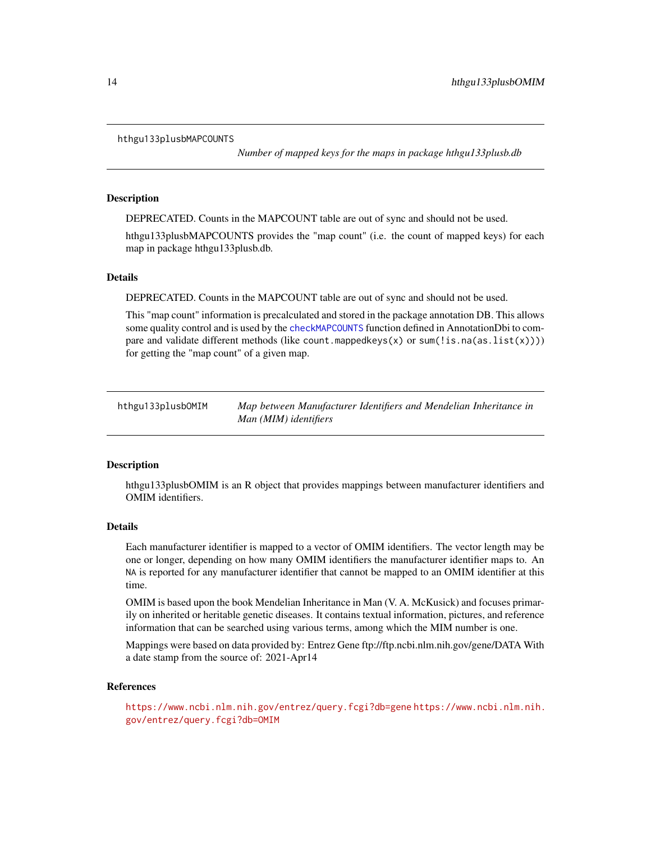#### <span id="page-13-0"></span>hthgu133plusbMAPCOUNTS

*Number of mapped keys for the maps in package hthgu133plusb.db*

## Description

DEPRECATED. Counts in the MAPCOUNT table are out of sync and should not be used.

hthgu133plusbMAPCOUNTS provides the "map count" (i.e. the count of mapped keys) for each map in package hthgu133plusb.db.

## Details

DEPRECATED. Counts in the MAPCOUNT table are out of sync and should not be used.

This "map count" information is precalculated and stored in the package annotation DB. This allows some quality control and is used by the [checkMAPCOUNTS](#page-0-0) function defined in AnnotationDbi to compare and validate different methods (like count.mappedkeys $(x)$  or sum(!is.na(as.list(x)))) for getting the "map count" of a given map.

hthgu133plusbOMIM *Map between Manufacturer Identifiers and Mendelian Inheritance in Man (MIM) identifiers*

## **Description**

hthgu133plusbOMIM is an R object that provides mappings between manufacturer identifiers and OMIM identifiers.

## Details

Each manufacturer identifier is mapped to a vector of OMIM identifiers. The vector length may be one or longer, depending on how many OMIM identifiers the manufacturer identifier maps to. An NA is reported for any manufacturer identifier that cannot be mapped to an OMIM identifier at this time.

OMIM is based upon the book Mendelian Inheritance in Man (V. A. McKusick) and focuses primarily on inherited or heritable genetic diseases. It contains textual information, pictures, and reference information that can be searched using various terms, among which the MIM number is one.

Mappings were based on data provided by: Entrez Gene ftp://ftp.ncbi.nlm.nih.gov/gene/DATA With a date stamp from the source of: 2021-Apr14

#### References

<https://www.ncbi.nlm.nih.gov/entrez/query.fcgi?db=gene> [https://www.ncbi.nlm.nih.](https://www.ncbi.nlm.nih.gov/entrez/query.fcgi?db=OMIM) [gov/entrez/query.fcgi?db=OMIM](https://www.ncbi.nlm.nih.gov/entrez/query.fcgi?db=OMIM)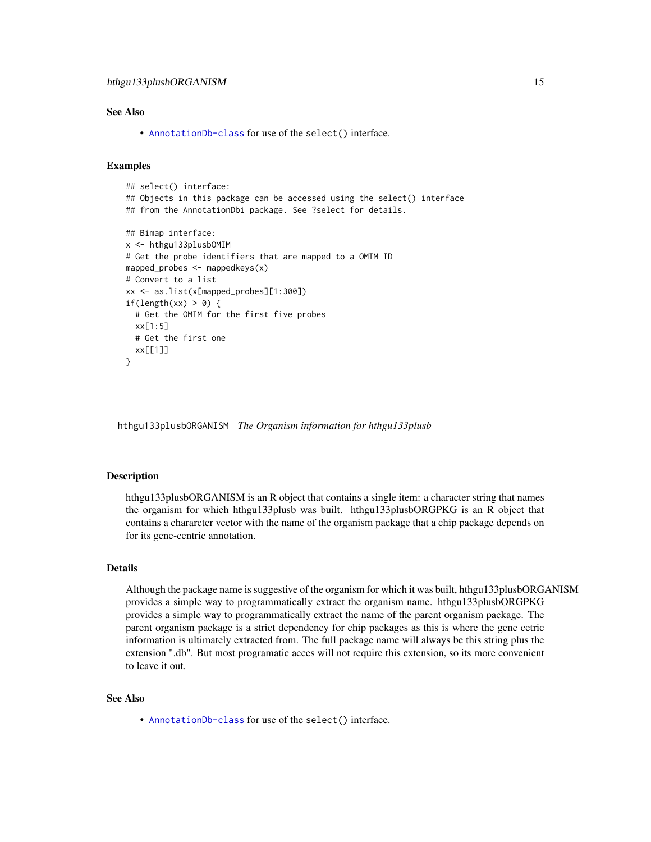# <span id="page-14-0"></span>See Also

• [AnnotationDb-class](#page-0-0) for use of the select() interface.

## Examples

```
## select() interface:
## Objects in this package can be accessed using the select() interface
## from the AnnotationDbi package. See ?select for details.
## Bimap interface:
x <- hthgu133plusbOMIM
# Get the probe identifiers that are mapped to a OMIM ID
mapped_probes <- mappedkeys(x)
# Convert to a list
xx <- as.list(x[mapped_probes][1:300])
if(length(xx) > 0) {
 # Get the OMIM for the first five probes
 xx[1:5]
 # Get the first one
 xx[[1]]
}
```
hthgu133plusbORGANISM *The Organism information for hthgu133plusb*

#### **Description**

hthgu133plusbORGANISM is an R object that contains a single item: a character string that names the organism for which hthgu133plusb was built. hthgu133plusbORGPKG is an R object that contains a chararcter vector with the name of the organism package that a chip package depends on for its gene-centric annotation.

## Details

Although the package name is suggestive of the organism for which it was built, hthgu133plusbORGANISM provides a simple way to programmatically extract the organism name. hthgu133plusbORGPKG provides a simple way to programmatically extract the name of the parent organism package. The parent organism package is a strict dependency for chip packages as this is where the gene cetric information is ultimately extracted from. The full package name will always be this string plus the extension ".db". But most programatic acces will not require this extension, so its more convenient to leave it out.

## See Also

• [AnnotationDb-class](#page-0-0) for use of the select() interface.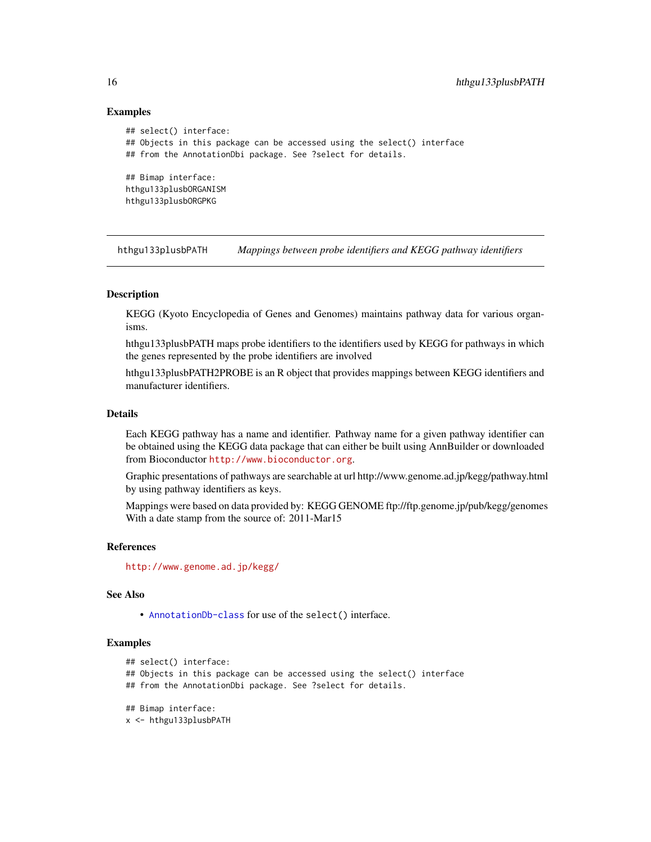## Examples

```
## select() interface:
## Objects in this package can be accessed using the select() interface
## from the AnnotationDbi package. See ?select for details.
## Bimap interface:
hthgu133plusbORGANISM
hthgu133plusbORGPKG
```
hthgu133plusbPATH *Mappings between probe identifiers and KEGG pathway identifiers*

## Description

KEGG (Kyoto Encyclopedia of Genes and Genomes) maintains pathway data for various organisms.

hthgu133plusbPATH maps probe identifiers to the identifiers used by KEGG for pathways in which the genes represented by the probe identifiers are involved

hthgu133plusbPATH2PROBE is an R object that provides mappings between KEGG identifiers and manufacturer identifiers.

## Details

Each KEGG pathway has a name and identifier. Pathway name for a given pathway identifier can be obtained using the KEGG data package that can either be built using AnnBuilder or downloaded from Bioconductor <http://www.bioconductor.org>.

Graphic presentations of pathways are searchable at url http://www.genome.ad.jp/kegg/pathway.html by using pathway identifiers as keys.

Mappings were based on data provided by: KEGG GENOME ftp://ftp.genome.jp/pub/kegg/genomes With a date stamp from the source of: 2011-Mar15

#### References

<http://www.genome.ad.jp/kegg/>

## See Also

• [AnnotationDb-class](#page-0-0) for use of the select() interface.

```
## select() interface:
## Objects in this package can be accessed using the select() interface
## from the AnnotationDbi package. See ?select for details.
## Bimap interface:
x <- hthgu133plusbPATH
```
<span id="page-15-0"></span>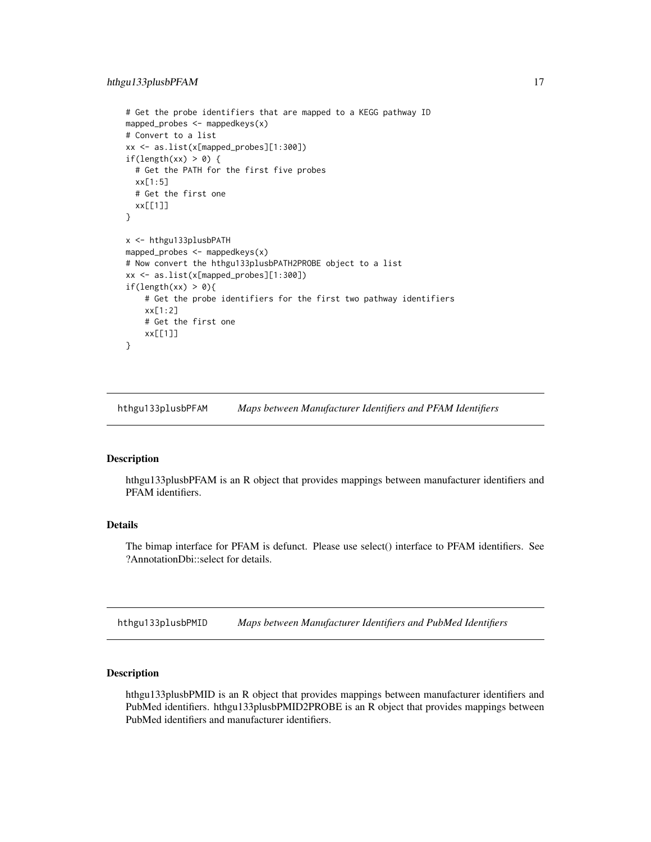```
# Get the probe identifiers that are mapped to a KEGG pathway ID
mapped_probes <- mappedkeys(x)
# Convert to a list
xx <- as.list(x[mapped_probes][1:300])
if(length(xx) > 0) {
 # Get the PATH for the first five probes
 xx[1:5]
 # Get the first one
 xx[[1]]
}
x <- hthgu133plusbPATH
mapped_probes <- mappedkeys(x)
# Now convert the hthgu133plusbPATH2PROBE object to a list
xx <- as.list(x[mapped_probes][1:300])
if(length(xx) > 0){
    # Get the probe identifiers for the first two pathway identifiers
   xx[1:2]
    # Get the first one
   xx[[1]]
}
```
hthgu133plusbPFAM *Maps between Manufacturer Identifiers and PFAM Identifiers*

## Description

hthgu133plusbPFAM is an R object that provides mappings between manufacturer identifiers and PFAM identifiers.

## Details

The bimap interface for PFAM is defunct. Please use select() interface to PFAM identifiers. See ?AnnotationDbi::select for details.

hthgu133plusbPMID *Maps between Manufacturer Identifiers and PubMed Identifiers*

#### Description

hthgu133plusbPMID is an R object that provides mappings between manufacturer identifiers and PubMed identifiers. hthgu133plusbPMID2PROBE is an R object that provides mappings between PubMed identifiers and manufacturer identifiers.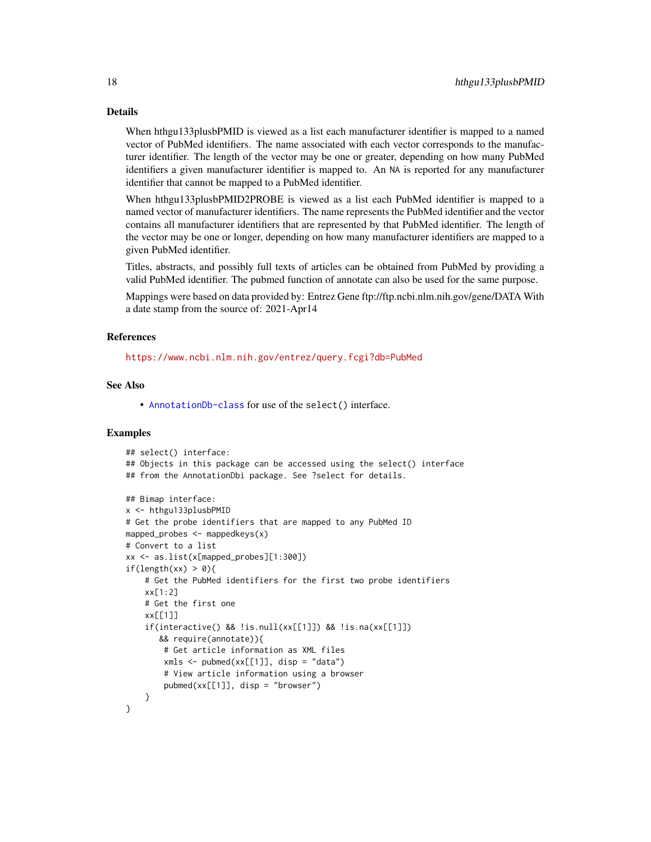#### Details

When hthgu133plusbPMID is viewed as a list each manufacturer identifier is mapped to a named vector of PubMed identifiers. The name associated with each vector corresponds to the manufacturer identifier. The length of the vector may be one or greater, depending on how many PubMed identifiers a given manufacturer identifier is mapped to. An NA is reported for any manufacturer identifier that cannot be mapped to a PubMed identifier.

When hthgu133plusbPMID2PROBE is viewed as a list each PubMed identifier is mapped to a named vector of manufacturer identifiers. The name represents the PubMed identifier and the vector contains all manufacturer identifiers that are represented by that PubMed identifier. The length of the vector may be one or longer, depending on how many manufacturer identifiers are mapped to a given PubMed identifier.

Titles, abstracts, and possibly full texts of articles can be obtained from PubMed by providing a valid PubMed identifier. The pubmed function of annotate can also be used for the same purpose.

Mappings were based on data provided by: Entrez Gene ftp://ftp.ncbi.nlm.nih.gov/gene/DATA With a date stamp from the source of: 2021-Apr14

#### References

<https://www.ncbi.nlm.nih.gov/entrez/query.fcgi?db=PubMed>

# See Also

• [AnnotationDb-class](#page-0-0) for use of the select() interface.

```
## select() interface:
## Objects in this package can be accessed using the select() interface
## from the AnnotationDbi package. See ?select for details.
## Bimap interface:
x <- hthgu133plusbPMID
# Get the probe identifiers that are mapped to any PubMed ID
mapped_probes \leq mappedkeys(x)
# Convert to a list
xx <- as.list(x[mapped_probes][1:300])
if(length(xx) > 0)# Get the PubMed identifiers for the first two probe identifiers
    xx[1:2]
    # Get the first one
    xx[[1]]
    if(interactive() && !is.null(xx[[1]]) && !is.na(xx[[1]])
       && require(annotate)){
        # Get article information as XML files
        xmls < -pubmed(xx[[1]], disp = "data")# View article information using a browser
        pubmed(xx[[1]], disp = "browser")
    }
}
```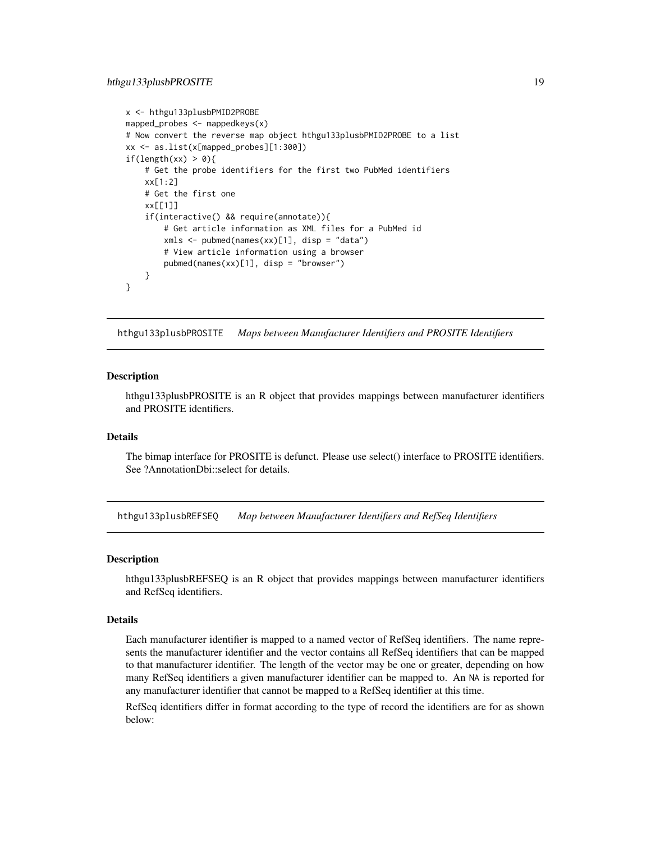```
x <- hthgu133plusbPMID2PROBE
mapped_probes <- mappedkeys(x)
# Now convert the reverse map object hthgu133plusbPMID2PROBE to a list
xx <- as.list(x[mapped_probes][1:300])
if(length(xx) > 0){
    # Get the probe identifiers for the first two PubMed identifiers
    xx[1:2]
    # Get the first one
   xx[[1]]
    if(interactive() && require(annotate)){
       # Get article information as XML files for a PubMed id
       xmls <- pubmed(names(xx)[1], disp = "data")
       # View article information using a browser
       pubmed(names(xx)[1], disp = "browser")
   }
}
```
hthgu133plusbPROSITE *Maps between Manufacturer Identifiers and PROSITE Identifiers*

## **Description**

hthgu133plusbPROSITE is an R object that provides mappings between manufacturer identifiers and PROSITE identifiers.

#### Details

The bimap interface for PROSITE is defunct. Please use select() interface to PROSITE identifiers. See ?AnnotationDbi::select for details.

hthgu133plusbREFSEQ *Map between Manufacturer Identifiers and RefSeq Identifiers*

#### Description

hthgu133plusbREFSEQ is an R object that provides mappings between manufacturer identifiers and RefSeq identifiers.

#### Details

Each manufacturer identifier is mapped to a named vector of RefSeq identifiers. The name represents the manufacturer identifier and the vector contains all RefSeq identifiers that can be mapped to that manufacturer identifier. The length of the vector may be one or greater, depending on how many RefSeq identifiers a given manufacturer identifier can be mapped to. An NA is reported for any manufacturer identifier that cannot be mapped to a RefSeq identifier at this time.

RefSeq identifiers differ in format according to the type of record the identifiers are for as shown below: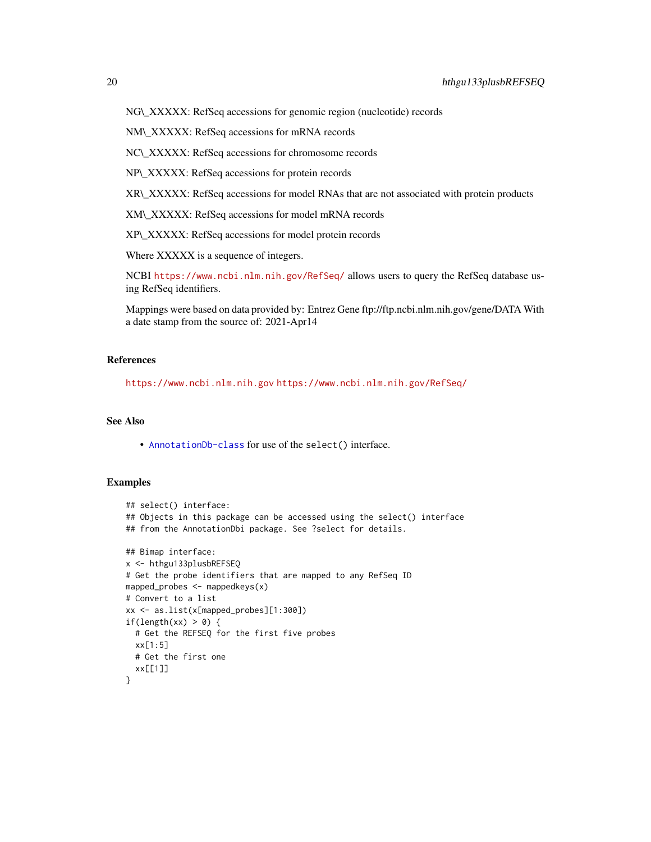NG\\_XXXXX: RefSeq accessions for genomic region (nucleotide) records

NM\\_XXXXX: RefSeq accessions for mRNA records

NC\\_XXXXX: RefSeq accessions for chromosome records

NP\\_XXXXX: RefSeq accessions for protein records

XR\\_XXXXX: RefSeq accessions for model RNAs that are not associated with protein products

XM\\_XXXXX: RefSeq accessions for model mRNA records

XP\\_XXXXX: RefSeq accessions for model protein records

Where XXXXX is a sequence of integers.

NCBI <https://www.ncbi.nlm.nih.gov/RefSeq/> allows users to query the RefSeq database using RefSeq identifiers.

Mappings were based on data provided by: Entrez Gene ftp://ftp.ncbi.nlm.nih.gov/gene/DATA With a date stamp from the source of: 2021-Apr14

## References

<https://www.ncbi.nlm.nih.gov> <https://www.ncbi.nlm.nih.gov/RefSeq/>

## See Also

• [AnnotationDb-class](#page-0-0) for use of the select() interface.

```
## select() interface:
## Objects in this package can be accessed using the select() interface
## from the AnnotationDbi package. See ?select for details.
## Bimap interface:
x <- hthgu133plusbREFSEQ
# Get the probe identifiers that are mapped to any RefSeq ID
mapped_probes \leq mappedkeys(x)
# Convert to a list
xx <- as.list(x[mapped_probes][1:300])
if(length(xx) > 0) {
  # Get the REFSEQ for the first five probes
  xx[1:5]
  # Get the first one
  xx[[1]]
}
```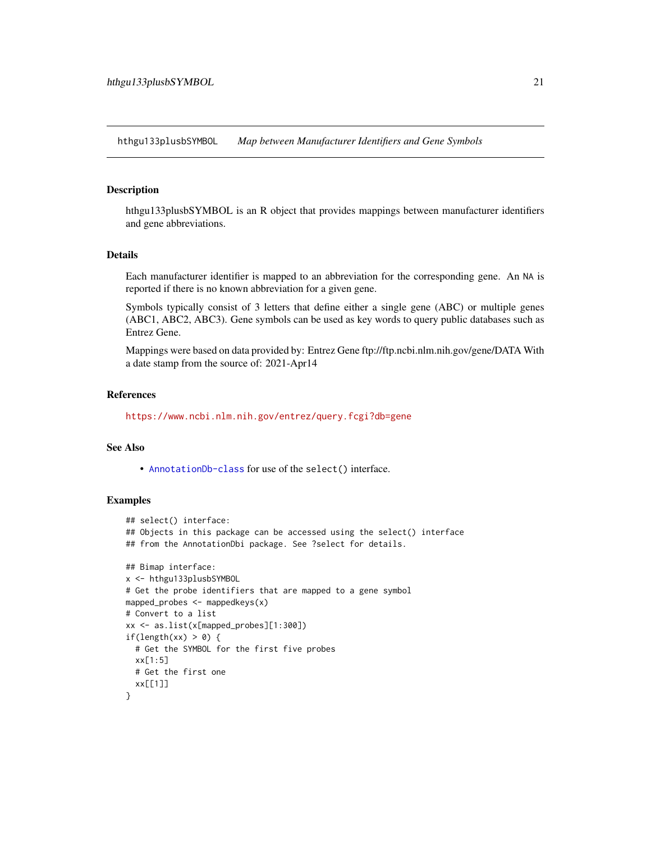<span id="page-20-0"></span>hthgu133plusbSYMBOL *Map between Manufacturer Identifiers and Gene Symbols*

#### Description

hthgu133plusbSYMBOL is an R object that provides mappings between manufacturer identifiers and gene abbreviations.

#### Details

Each manufacturer identifier is mapped to an abbreviation for the corresponding gene. An NA is reported if there is no known abbreviation for a given gene.

Symbols typically consist of 3 letters that define either a single gene (ABC) or multiple genes (ABC1, ABC2, ABC3). Gene symbols can be used as key words to query public databases such as Entrez Gene.

Mappings were based on data provided by: Entrez Gene ftp://ftp.ncbi.nlm.nih.gov/gene/DATA With a date stamp from the source of: 2021-Apr14

#### References

<https://www.ncbi.nlm.nih.gov/entrez/query.fcgi?db=gene>

## See Also

• [AnnotationDb-class](#page-0-0) for use of the select() interface.

```
## select() interface:
## Objects in this package can be accessed using the select() interface
## from the AnnotationDbi package. See ?select for details.
## Bimap interface:
x <- hthgu133plusbSYMBOL
# Get the probe identifiers that are mapped to a gene symbol
mapped_probes <- mappedkeys(x)
# Convert to a list
xx <- as.list(x[mapped_probes][1:300])
if(length(xx) > 0) {
  # Get the SYMBOL for the first five probes
  xx[1:5]
  # Get the first one
  xx[[1]]
}
```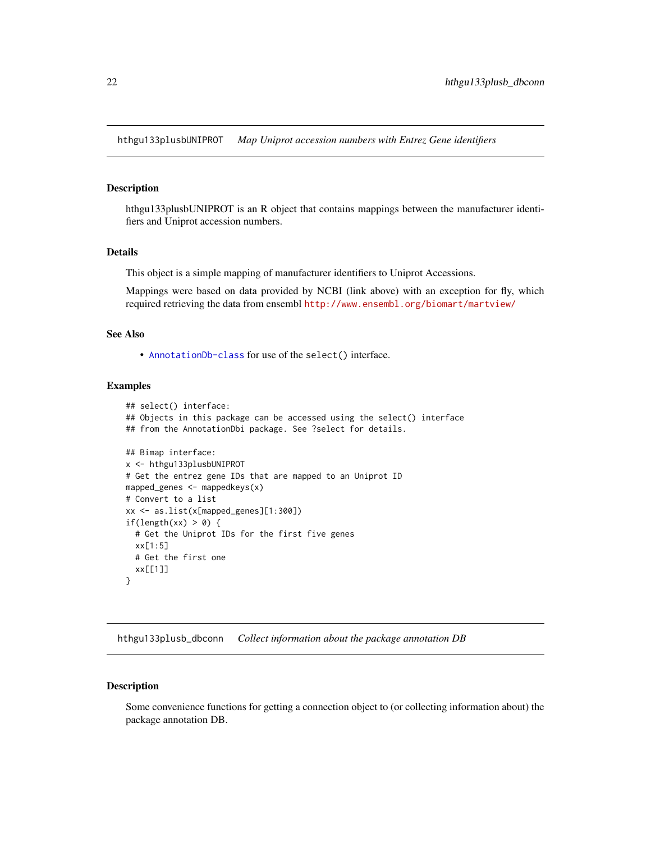<span id="page-21-0"></span>hthgu133plusbUNIPROT *Map Uniprot accession numbers with Entrez Gene identifiers*

## **Description**

hthgu133plusbUNIPROT is an R object that contains mappings between the manufacturer identifiers and Uniprot accession numbers.

#### Details

This object is a simple mapping of manufacturer identifiers to Uniprot Accessions.

Mappings were based on data provided by NCBI (link above) with an exception for fly, which required retrieving the data from ensembl <http://www.ensembl.org/biomart/martview/>

# See Also

• [AnnotationDb-class](#page-0-0) for use of the select() interface.

## Examples

```
## select() interface:
## Objects in this package can be accessed using the select() interface
## from the AnnotationDbi package. See ?select for details.
## Bimap interface:
x <- hthgu133plusbUNIPROT
# Get the entrez gene IDs that are mapped to an Uniprot ID
mapped_genes <- mappedkeys(x)
# Convert to a list
xx <- as.list(x[mapped_genes][1:300])
if(length(xx) > 0) {
  # Get the Uniprot IDs for the first five genes
  xx[1:5]
  # Get the first one
  xx[[1]]
}
```
hthgu133plusb\_dbconn *Collect information about the package annotation DB*

#### Description

Some convenience functions for getting a connection object to (or collecting information about) the package annotation DB.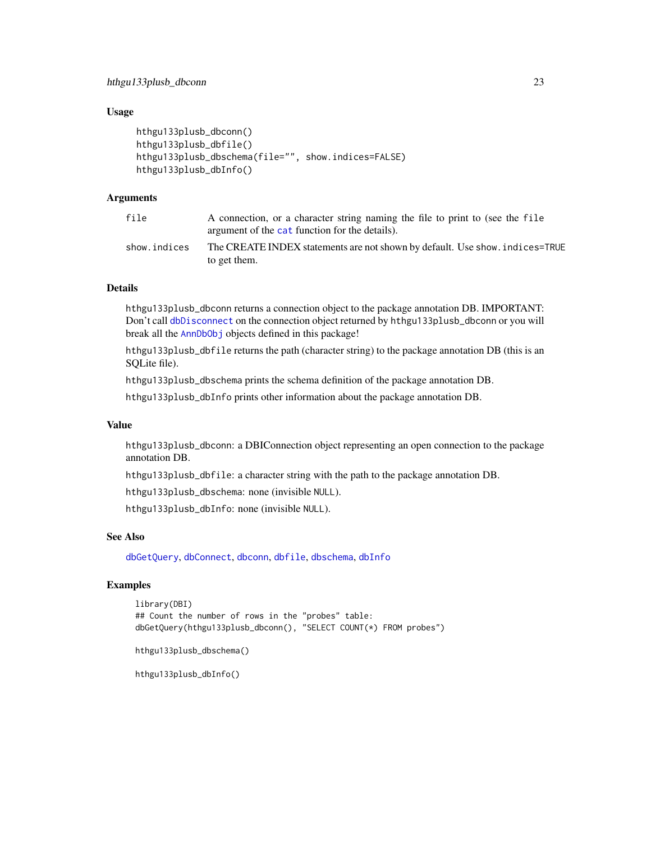# <span id="page-22-0"></span>Usage

```
hthgu133plusb_dbconn()
hthgu133plusb_dbfile()
hthgu133plusb_dbschema(file="", show.indices=FALSE)
hthgu133plusb_dbInfo()
```
# Arguments

| file         | A connection, or a character string naming the file to print to (see the file<br>argument of the cat function for the details). |
|--------------|---------------------------------------------------------------------------------------------------------------------------------|
| show.indices | The CREATE INDEX statements are not shown by default. Use show, indices=TRUE<br>to get them.                                    |

## Details

hthgu133plusb\_dbconn returns a connection object to the package annotation DB. IMPORTANT: Don't call [dbDisconnect](#page-0-0) on the connection object returned by hthgu133plusb\_dbconn or you will break all the [AnnDbObj](#page-0-0) objects defined in this package!

hthgu133plusb\_dbfile returns the path (character string) to the package annotation DB (this is an SQLite file).

hthgu133plusb\_dbschema prints the schema definition of the package annotation DB.

hthgu133plusb\_dbInfo prints other information about the package annotation DB.

## Value

hthgu133plusb\_dbconn: a DBIConnection object representing an open connection to the package annotation DB.

hthgu133plusb\_dbfile: a character string with the path to the package annotation DB.

hthgu133plusb\_dbschema: none (invisible NULL).

hthgu133plusb\_dbInfo: none (invisible NULL).

# See Also

[dbGetQuery](#page-0-0), [dbConnect](#page-0-0), [dbconn](#page-0-0), [dbfile](#page-0-0), [dbschema](#page-0-0), [dbInfo](#page-0-0)

# Examples

```
library(DBI)
## Count the number of rows in the "probes" table:
dbGetQuery(hthgu133plusb_dbconn(), "SELECT COUNT(*) FROM probes")
```
hthgu133plusb\_dbschema()

hthgu133plusb\_dbInfo()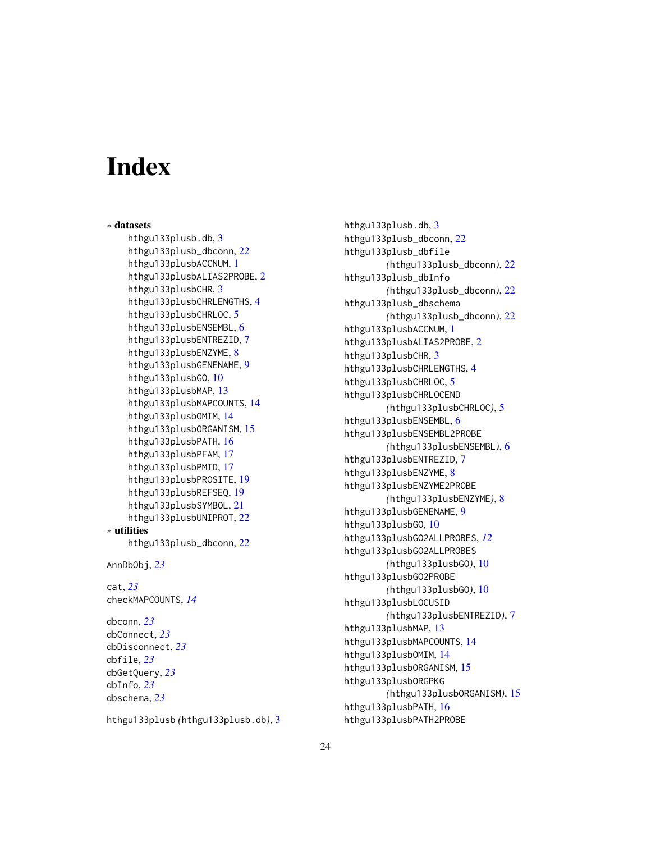# **Index**

∗ datasets hthgu133plusb.db, [3](#page-2-0) hthgu133plusb\_dbconn, [22](#page-21-0) hthgu133plusbACCNUM, [1](#page-0-1) hthgu133plusbALIAS2PROBE, [2](#page-1-0) hthgu133plusbCHR, [3](#page-2-0) hthgu133plusbCHRLENGTHS, [4](#page-3-0) hthgu133plusbCHRLOC, [5](#page-4-0) hthgu133plusbENSEMBL, [6](#page-5-0) hthgu133plusbENTREZID, [7](#page-6-0) hthgu133plusbENZYME, [8](#page-7-0) hthgu133plusbGENENAME, [9](#page-8-0) hthgu133plusbGO, [10](#page-9-1) hthgu133plusbMAP, [13](#page-12-0) hthgu133plusbMAPCOUNTS, [14](#page-13-0) hthgu133plusbOMIM, [14](#page-13-0) hthgu133plusbORGANISM, [15](#page-14-0) hthgu133plusbPATH, [16](#page-15-0) hthgu133plusbPFAM, [17](#page-16-0) hthgu133plusbPMID, [17](#page-16-0) hthgu133plusbPROSITE, [19](#page-18-0) hthgu133plusbREFSEQ, [19](#page-18-0) hthgu133plusbSYMBOL, [21](#page-20-0) hthgu133plusbUNIPROT, [22](#page-21-0) ∗ utilities hthgu133plusb\_dbconn, [22](#page-21-0) AnnDbObj, *[23](#page-22-0)* cat, *[23](#page-22-0)* checkMAPCOUNTS, *[14](#page-13-0)* dbconn, *[23](#page-22-0)* dbConnect, *[23](#page-22-0)* dbDisconnect, *[23](#page-22-0)* dbfile, *[23](#page-22-0)* dbGetQuery, *[23](#page-22-0)* dbInfo, *[23](#page-22-0)*

hthgu133plusb *(*hthgu133plusb.db*)*, [3](#page-2-0)

dbschema, *[23](#page-22-0)*

hthgu133plusb.db, [3](#page-2-0) hthgu133plusb\_dbconn, [22](#page-21-0) hthgu133plusb\_dbfile *(*hthgu133plusb\_dbconn*)*, [22](#page-21-0) hthgu133plusb\_dbInfo *(*hthgu133plusb\_dbconn*)*, [22](#page-21-0) hthgu133plusb\_dbschema *(*hthgu133plusb\_dbconn*)*, [22](#page-21-0) hthgu133plusbACCNUM, [1](#page-0-1) hthgu133plusbALIAS2PROBE, [2](#page-1-0) hthgu133plusbCHR, [3](#page-2-0) hthgu133plusbCHRLENGTHS, [4](#page-3-0) hthgu133plusbCHRLOC, [5](#page-4-0) hthgu133plusbCHRLOCEND *(*hthgu133plusbCHRLOC*)*, [5](#page-4-0) hthgu133plusbENSEMBL, [6](#page-5-0) hthgu133plusbENSEMBL2PROBE *(*hthgu133plusbENSEMBL*)*, [6](#page-5-0) hthgu133plusbENTREZID, [7](#page-6-0) hthgu133plusbENZYME, [8](#page-7-0) hthgu133plusbENZYME2PROBE *(*hthgu133plusbENZYME*)*, [8](#page-7-0) hthgu133plusbGENENAME, [9](#page-8-0) hthgu133plusbGO, [10](#page-9-1) hthgu133plusbGO2ALLPROBES, *[12](#page-11-0)* hthgu133plusbGO2ALLPROBES *(*hthgu133plusbGO*)*, [10](#page-9-1) hthgu133plusbGO2PROBE *(*hthgu133plusbGO*)*, [10](#page-9-1) hthgu133plusbLOCUSID *(*hthgu133plusbENTREZID*)*, [7](#page-6-0) hthgu133plusbMAP, [13](#page-12-0) hthgu133plusbMAPCOUNTS, [14](#page-13-0) hthgu133plusbOMIM, [14](#page-13-0) hthgu133plusbORGANISM, [15](#page-14-0) hthgu133plusbORGPKG *(*hthgu133plusbORGANISM*)*, [15](#page-14-0) hthgu133plusbPATH, [16](#page-15-0) hthgu133plusbPATH2PROBE